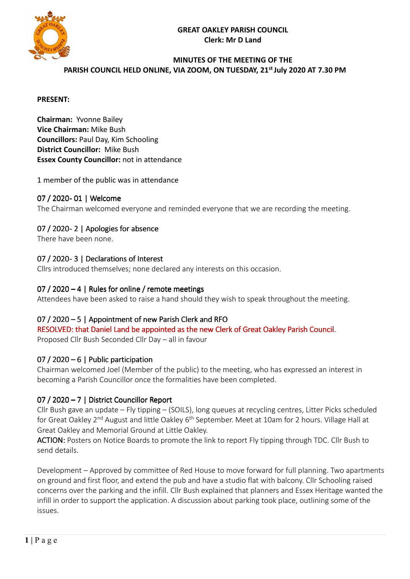



### **MINUTES OF THE MEETING OF THE**  PARISH COUNCIL HELD ONLINE, VIA ZOOM, ON TUESDAY, 21<sup>st</sup> July 2020 AT 7.30 PM

#### **PRESENT:**

**Chairman:** Yvonne Bailey **Vice Chairman:** Mike Bush **Councillors:** Paul Day, Kim Schooling **District Councillor:** Mike Bush **Essex County Councillor:** not in attendance

1 member of the public was in attendance

### 07 / 2020- 01 | Welcome

The Chairman welcomed everyone and reminded everyone that we are recording the meeting.

### 07 / 2020-2 | Apologies for absence

There have been none.

### 07 / 2020 - 3 | Declarations of Interest

Cllrs introduced themselves; none declared any interests on this occasion.

#### 07 / 2020 – 4 | Rules for online / remote meetings

Attendees have been asked to raise a hand should they wish to speak throughout the meeting.

### $07 / 2020 - 5$  | Appointment of new Parish Clerk and RFO

RESOLVED: that Daniel Land be appointed as the new Clerk of Great Oakley Parish Council. Proposed Cllr Bush Seconded Cllr Day – all in favour

### 07 / 2020 – 6 | Public participation

Chairman welcomed Joel (Member of the public) to the meeting, who has expressed an interest in becoming a Parish Councillor once the formalities have been completed.

### 07 / 2020 – 7 | District Councillor Report

Cllr Bush gave an update – Fly tipping – (SOILS), long queues at recycling centres, Litter Picks scheduled for Great Oakley 2<sup>nd</sup> August and little Oakley 6<sup>th</sup> September. Meet at 10am for 2 hours. Village Hall at Great Oakley and Memorial Ground at Little Oakley.

ACTION: Posters on Notice Boards to promote the link to report Fly tipping through TDC. Cllr Bush to send details.

Development – Approved by committee of Red House to move forward for full planning. Two apartments on ground and first floor, and extend the pub and have a studio flat with balcony. Cllr Schooling raised concerns over the parking and the infill. Cllr Bush explained that planners and Essex Heritage wanted the infill in order to support the application. A discussion about parking took place, outlining some of the issues.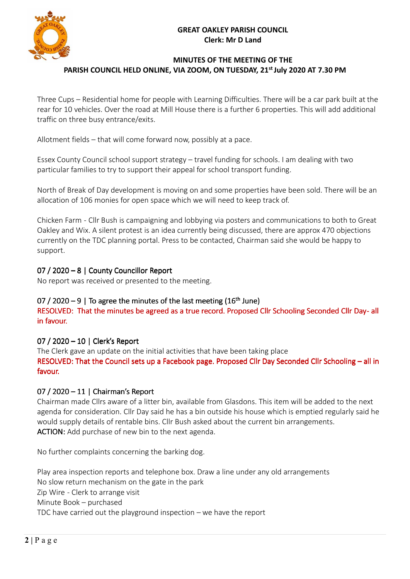### **GREAT OAKLEY PARISH COUNCIL Clerk: Mr D Land**



## **MINUTES OF THE MEETING OF THE**  PARISH COUNCIL HELD ONLINE, VIA ZOOM, ON TUESDAY, 21<sup>st</sup> July 2020 AT 7.30 PM

Three Cups – Residential home for people with Learning Difficulties. There will be a car park built at the rear for 10 vehicles. Over the road at Mill House there is a further 6 properties. This will add additional traffic on three busy entrance/exits.

Allotment fields – that will come forward now, possibly at a pace.

Essex County Council school support strategy – travel funding for schools. I am dealing with two particular families to try to support their appeal for school transport funding.

North of Break of Day development is moving on and some properties have been sold. There will be an allocation of 106 monies for open space which we will need to keep track of.

Chicken Farm - Cllr Bush is campaigning and lobbying via posters and communications to both to Great Oakley and Wix. A silent protest is an idea currently being discussed, there are approx 470 objections currently on the TDC planning portal. Press to be contacted, Chairman said she would be happy to support.

# 07 / 2020 – 8 | County Councillor Report

No report was received or presented to the meeting.

# 07 / 2020  $-9$  | To agree the minutes of the last meeting (16<sup>th</sup> June)

RESOLVED: That the minutes be agreed as a true record. Proposed Cllr Schooling Seconded Cllr Day-all in favour.

# 07 / 2020 – 10 | Clerk's Report

The Clerk gave an update on the initial activities that have been taking place RESOLVED: That the Council sets up a Facebook page. Proposed Cllr Day Seconded Cllr Schooling – all in favour.

# 07 / 2020 – 11 | Chairman's Report

Chairman made Cllrs aware of a litter bin, available from Glasdons. This item will be added to the next agenda for consideration. Cllr Day said he has a bin outside his house which is emptied regularly said he would supply details of rentable bins. Cllr Bush asked about the current bin arrangements. ACTION: Add purchase of new bin to the next agenda.

No further complaints concerning the barking dog.

Play area inspection reports and telephone box. Draw a line under any old arrangements No slow return mechanism on the gate in the park Zip Wire - Clerk to arrange visit Minute Book – purchased TDC have carried out the playground inspection – we have the report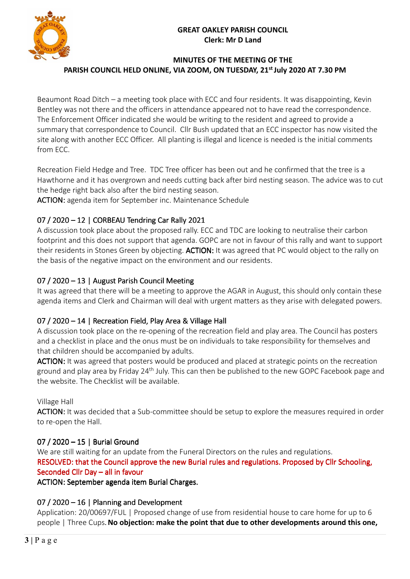### **GREAT OAKLEY PARISH COUNCIL Clerk: Mr D Land**



## **MINUTES OF THE MEETING OF THE**  PARISH COUNCIL HELD ONLINE, VIA ZOOM, ON TUESDAY, 21<sup>st</sup> July 2020 AT 7.30 PM

Beaumont Road Ditch – a meeting took place with ECC and four residents. It was disappointing, Kevin Bentley was not there and the officers in attendance appeared not to have read the correspondence. The Enforcement Officer indicated she would be writing to the resident and agreed to provide a summary that correspondence to Council. Cllr Bush updated that an ECC inspector has now visited the site along with another ECC Officer. All planting is illegal and licence is needed is the initial comments from ECC.

Recreation Field Hedge and Tree. TDC Tree officer has been out and he confirmed that the tree is a Hawthorne and it has overgrown and needs cutting back after bird nesting season. The advice was to cut the hedge right back also after the bird nesting season.

ACTION: agenda item for September inc. Maintenance Schedule

# $07 / 2020 - 12$  | CORBEAU Tendring Car Rally 2021

A discussion took place about the proposed rally. ECC and TDC are looking to neutralise their carbon footprint and this does not support that agenda. GOPC are not in favour of this rally and want to support their residents in Stones Green by objecting. ACTION: It was agreed that PC would object to the rally on the basis of the negative impact on the environment and our residents.

# 07 / 2020 – 13 | August Parish Council Meeting

It was agreed that there will be a meeting to approve the AGAR in August, this should only contain these agenda items and Clerk and Chairman will deal with urgent matters as they arise with delegated powers.

# 07 / 2020 – 14 | Recreation Field, Play Area & Village Hall

A discussion took place on the re-opening of the recreation field and play area. The Council has posters and a checklist in place and the onus must be on individuals to take responsibility for themselves and that children should be accompanied by adults.

ACTION: It was agreed that posters would be produced and placed at strategic points on the recreation ground and play area by Friday 24<sup>th</sup> July. This can then be published to the new GOPC Facebook page and the website. The Checklist will be available.

Village Hall

ACTION: It was decided that a Sub-committee should be setup to explore the measures required in order to re-open the Hall.

# 07 / 2020 – 15 | Burial Ground

We are still waiting for an update from the Funeral Directors on the rules and regulations. RESOLVED: that the Council approve the new Burial rules and regulations. Proposed by Cllr Schooling, Seconded Cllr Day – all in favour

ACTION: September agenda item Burial Charges.

# 07 / 2020 – 16 | Planning and Development

Application: 20/00697/FUL | Proposed change of use from residential house to care home for up to 6 people | Three Cups**. No objection: make the point that due to other developments around this one,**